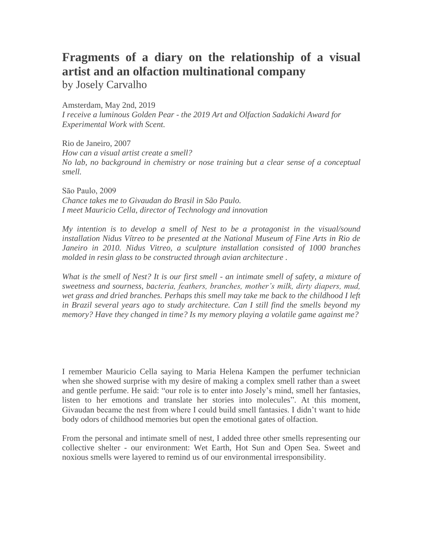## **Fragments of a diary on the relationship of a visual artist and an olfaction multinational company**

by Josely Carvalho

Amsterdam, May 2nd, 2019

*I receive a luminous Golden Pear - the 2019 Art and Olfaction Sadakichi Award for Experimental Work with Scent.* 

Rio de Janeiro, 2007 *How can a visual artist create a smell? No lab, no background in chemistry or nose training but a clear sense of a conceptual smell.* 

Sāo Paulo, 2009 *Chance takes me to Givaudan do Brasil in São Paulo. I meet Mauricio Cella, director of Technology and innovation* 

*My intention is to develop a smell of Nest to be a protagonist in the visual/sound installation Nidus Vítreo to be presented at the National Museum of Fine Arts in Rio de Janeiro in 2010. Nidus Vitreo, a sculpture installation consisted of 1000 branches molded in resin glass to be constructed through avian architecture .* 

*What is the smell of Nest? It is our first smell - an intimate smell of safety, a mixture of sweetness and sourness, bacteria, feathers, branches, mother's milk, dirty diapers, mud, wet grass and dried branches. Perhaps this smell may take me back to the childhood I left in Brazil several years ago to study architecture. Can I still find the smells beyond my memory? Have they changed in time? Is my memory playing a volatile game against me?* 

I remember Mauricio Cella saying to Maria Helena Kampen the perfumer technician when she showed surprise with my desire of making a complex smell rather than a sweet and gentle perfume. He said: "our role is to enter into Josely's mind, smell her fantasies, listen to her emotions and translate her stories into molecules". At this moment, Givaudan became the nest from where I could build smell fantasies. I didn't want to hide body odors of childhood memories but open the emotional gates of olfaction.

From the personal and intimate smell of nest, I added three other smells representing our collective shelter - our environment: Wet Earth, Hot Sun and Open Sea. Sweet and noxious smells were layered to remind us of our environmental irresponsibility.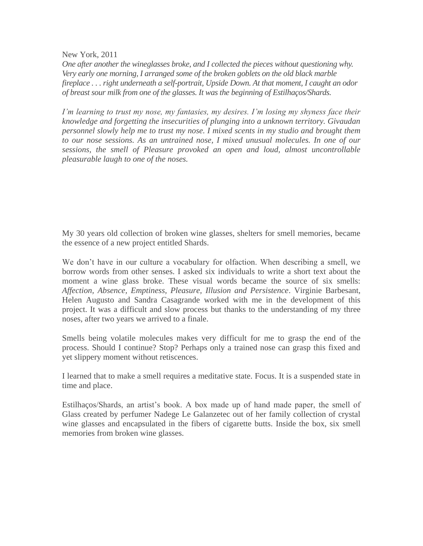New York, 2011

*One after another the wineglasses broke, and I collected the pieces without questioning why. Very early one morning, I arranged some of the broken goblets on the old black marble fireplace . . . right underneath a self-portrait, Upside Down. At that moment, I caught an odor of breast sour milk from one of the glasses. It was the beginning of Estilhaços/Shards.*

*I'm learning to trust my nose, my fantasies, my desires. I'm losing my shyness face their knowledge and forgetting the insecurities of plunging into a unknown territory. Givaudan personnel slowly help me to trust my nose. I mixed scents in my studio and brought them to our nose sessions. As an untrained nose, I mixed unusual molecules. In one of our sessions, the smell of Pleasure provoked an open and loud, almost uncontrollable pleasurable laugh to one of the noses.*

My 30 years old collection of broken wine glasses, shelters for smell memories, became the essence of a new project entitled Shards.

We don't have in our culture a vocabulary for olfaction. When describing a smell, we borrow words from other senses. I asked six individuals to write a short text about the moment a wine glass broke. These visual words became the source of six smells: *Affection, Absence, Emptiness, Pleasure, Illusion and Persistence*. Virginie Barbesant, Helen Augusto and Sandra Casagrande worked with me in the development of this project. It was a difficult and slow process but thanks to the understanding of my three noses, after two years we arrived to a finale.

Smells being volatile molecules makes very difficult for me to grasp the end of the process. Should I continue? Stop? Perhaps only a trained nose can grasp this fixed and yet slippery moment without retiscences.

I learned that to make a smell requires a meditative state. Focus. It is a suspended state in time and place.

Estilhaços/Shards, an artist's book. A box made up of hand made paper, the smell of Glass created by perfumer Nadege Le Galanzetec out of her family collection of crystal wine glasses and encapsulated in the fibers of cigarette butts. Inside the box, six smell memories from broken wine glasses.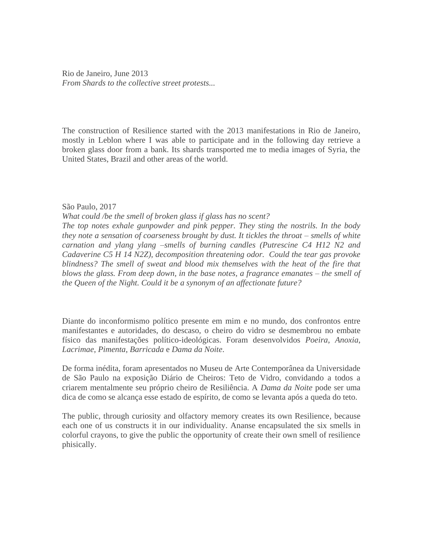Rio de Janeiro, June 2013 *From Shards to the collective street protests...*

The construction of Resilience started with the 2013 manifestations in Rio de Janeiro, mostly in Leblon where I was able to participate and in the following day retrieve a broken glass door from a bank. Its shards transported me to media images of Syria, the United States, Brazil and other areas of the world.

São Paulo, 2017

*What could /be the smell of broken glass if glass has no scent? The top notes exhale gunpowder and pink pepper. They sting the nostrils. In the body they note a sensation of coarseness brought by dust. It tickles the throat – smells of white carnation and ylang ylang –smells of burning candles (Putrescine C4 H12 N2 and Cadaverine C5 H 14 N2Z), decomposition threatening odor. Could the tear gas provoke blindness? The smell of sweat and blood mix themselves with the heat of the fire that blows the glass. From deep down, in the base notes, a fragrance emanates – the smell of the Queen of the Night. Could it be a synonym of an affectionate future?*

Diante do inconformismo político presente em mim e no mundo, dos confrontos entre manifestantes e autoridades, do descaso, o cheiro do vidro se desmembrou no embate físico das manifestações político-ideológicas. Foram desenvolvidos *Poeira*, *Anoxia*, *Lacrimae*, *Pimenta*, *Barricada* e *Dama da Noite*.

De forma inédita, foram apresentados no Museu de Arte Contemporânea da Universidade de São Paulo na exposição Diário de Cheiros: Teto de Vidro, convidando a todos a criarem mentalmente seu próprio cheiro de Resiliência. A *Dama da Noite* pode ser uma dica de como se alcança esse estado de espírito, de como se levanta após a queda do teto.

The public, through curiosity and olfactory memory creates its own Resilience, because each one of us constructs it in our individuality. Ananse encapsulated the six smells in colorful crayons, to give the public the opportunity of create their own smell of resilience phisically.